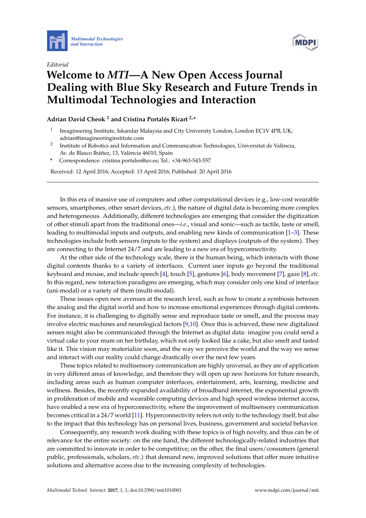



## *Editorial* **Welcome to** *MTI***—A New Open Access Journal Dealing with Blue Sky Research and Future Trends in Multimodal Technologies and Interaction**

**Adrian David Cheok <sup>1</sup> and Cristina Portalés Ricart 2,\***

- 1 Imagineering Institute, Iskandar Malaysia and City University London, London EC1V 4PB, UK; adrian@imagineeringinstitute.com
- 2 Institute of Robotics and Information and Communication Technologies, Universitat de València, Av. de Blasco Ibáñez, 13, València 46010, Spain
- **\*** Correspondence: cristina.portales@uv.es; Tel.: +34-963-543-557

Received: 12 April 2016; Accepted: 13 April 2016; Published: 20 April 2016

In this era of massive use of computers and other computational devices (e.g., low-cost wearable sensors, smartphones, other smart devices, *etc*.), the nature of digital data is becoming more complex and heterogeneous. Additionally, different technologies are emerging that consider the digitization of other stimuli apart from the traditional ones—*i.e.*, visual and sonic—such as tactile, taste or smell, leading to multimodal inputs and outputs, and enabling new kinds of communication [\[1](#page-1-0)[–3\]](#page-1-1). These technologies include both sensors (inputs to the system) and displays (outputs of the system). They are connecting to the Internet 24/7 and are leading to a new era of hyperconnectivity.

At the other side of the technology scale, there is the human being, which interacts with those digital contents thanks to a variety of interfaces. Current user inputs go beyond the traditional keyboard and mouse, and include speech [\[4\]](#page-1-2), touch [\[5\]](#page-1-3), gestures [\[6\]](#page-1-4), body movement [\[7\]](#page-1-5), gaze [\[8\]](#page-1-6), *etc*. In this regard, new interaction paradigms are emerging, which may consider only one kind of interface (uni-modal) or a variety of them (multi-modal).

These issues open new avenues at the research level, such as how to create a symbiosis between the analog and the digital world and how to increase emotional experiences through digital contents. For instance, it is challenging to digitally sense and reproduce taste or smell, and the process may involve electric machines and neurological factors [\[9](#page-1-7)[,10\]](#page-1-8). Once this is achieved, these new digitalized senses might also be communicated through the Internet as digital data: imagine you could send a virtual cake to your mum on her birthday, which not only looked like a cake, but also smelt and tasted like it. This vision may materialize soon, and the way we perceive the world and the way we sense and interact with our reality could change drastically over the next few years.

These topics related to multisensory communication are highly universal, as they are of application in very different areas of knowledge, and therefore they will open up new horizons for future research, including areas such as human computer interfaces, entertainment, arts, learning, medicine and wellness. Besides, the recently expanded availability of broadband internet, the exponential growth in proliferation of mobile and wearable computing devices and high speed wireless internet access, have enabled a new era of hyperconnectivity, where the improvement of multisensory communication becomes critical in a 24/7 world [\[11\]](#page-1-9). Hyperconnectivity refers not only to the technology itself, but also to the impact that this technology has on personal lives, business, government and societal behavior.

Consequently, any research work dealing with these topics is of high novelty, and thus can be of relevance for the entire society: on the one hand, the different technologically-related industries that are committed to innovate in order to be competitive; on the other, the final users/consumers (general public, professionals, scholars, *etc*.) that demand new, improved solutions that offer more intuitive solutions and alternative access due to the increasing complexity of technologies.